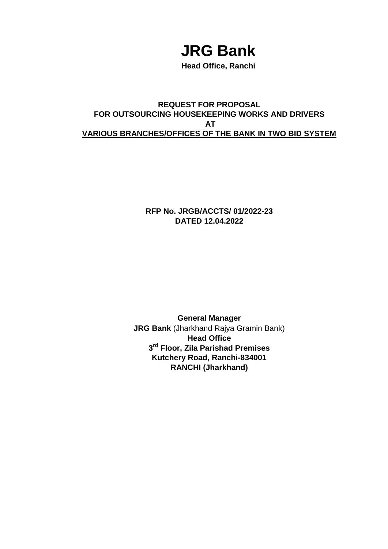# **JRG Bank**

**Head Office, Ranchi**

#### **REQUEST FOR PROPOSAL FOR OUTSOURCING HOUSEKEEPING WORKS AND DRIVERS AT VARIOUS BRANCHES/OFFICES OF THE BANK IN TWO BID SYSTEM**

**RFP No. JRGB/ACCTS/ 01/2022-23 DATED 12.04.2022**

**General Manager JRG Bank** (Jharkhand Rajya Gramin Bank) **Head Office 3 rd Floor, Zila Parishad Premises Kutchery Road, Ranchi-834001 RANCHI (Jharkhand)**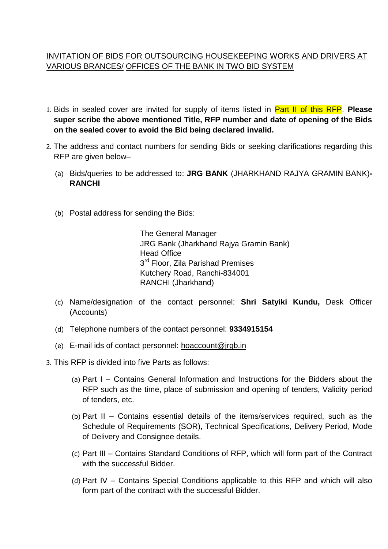#### INVITATION OF BIDS FOR OUTSOURCING HOUSEKEEPING WORKS AND DRIVERS AT VARIOUS BRANCES/ OFFICES OF THE BANK IN TWO BID SYSTEM

- 1. Bids in sealed cover are invited for supply of items listed in Part II of this RFP. **Please super scribe the above mentioned Title, RFP number and date of opening of the Bids on the sealed cover to avoid the Bid being declared invalid.**
- 2. The address and contact numbers for sending Bids or seeking clarifications regarding this RFP are given below–
	- (a) Bids/queries to be addressed to: **JRG BANK** (JHARKHAND RAJYA GRAMIN BANK)**- RANCHI**
	- (b) Postal address for sending the Bids:

The General Manager JRG Bank (Jharkhand Rajya Gramin Bank) Head Office 3<sup>rd</sup> Floor, Zila Parishad Premises Kutchery Road, Ranchi-834001 RANCHI (Jharkhand)

- (c) Name/designation of the contact personnel: **Shri Satyiki Kundu,** Desk Officer (Accounts)
- (d) Telephone numbers of the contact personnel: **9334915154**
- (e) E-mail ids of contact personnel: [hoaccount@jrgb.in](mailto:hoaccount@jrgb.in)
- 3. This RFP is divided into five Parts as follows:
	- (a) Part I Contains General Information and Instructions for the Bidders about the RFP such as the time, place of submission and opening of tenders, Validity period of tenders, etc.
	- (b) Part II Contains essential details of the items/services required, such as the Schedule of Requirements (SOR), Technical Specifications, Delivery Period, Mode of Delivery and Consignee details.
	- (c) Part III Contains Standard Conditions of RFP, which will form part of the Contract with the successful Bidder.
	- (d) Part IV Contains Special Conditions applicable to this RFP and which will also form part of the contract with the successful Bidder.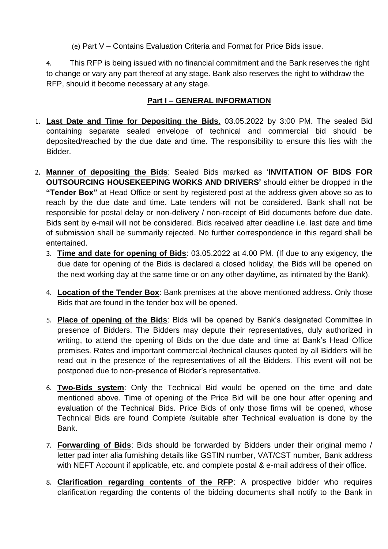(e) Part V – Contains Evaluation Criteria and Format for Price Bids issue.

4. This RFP is being issued with no financial commitment and the Bank reserves the right to change or vary any part thereof at any stage. Bank also reserves the right to withdraw the RFP, should it become necessary at any stage.

#### **Part I – GENERAL INFORMATION**

- 1. **Last Date and Time for Depositing the Bids**. 03.05.2022 by 3:00 PM. The sealed Bid containing separate sealed envelope of technical and commercial bid should be deposited/reached by the due date and time. The responsibility to ensure this lies with the Bidder.
- 2. **Manner of depositing the Bids**: Sealed Bids marked as '**INVITATION OF BIDS FOR OUTSOURCING HOUSEKEEPING WORKS AND DRIVERS'** should either be dropped in the **"Tender Box"** at Head Office or sent by registered post at the address given above so as to reach by the due date and time. Late tenders will not be considered. Bank shall not be responsible for postal delay or non-delivery / non-receipt of Bid documents before due date. Bids sent by e-mail will not be considered. Bids received after deadline i.e. last date and time of submission shall be summarily rejected. No further correspondence in this regard shall be entertained.
	- 3. **Time and date for opening of Bids**: 03.05.2022 at 4.00 PM. (If due to any exigency, the due date for opening of the Bids is declared a closed holiday, the Bids will be opened on the next working day at the same time or on any other day/time, as intimated by the Bank).
	- 4. **Location of the Tender Box**: Bank premises at the above mentioned address. Only those Bids that are found in the tender box will be opened.
	- 5. **Place of opening of the Bids**: Bids will be opened by Bank's designated Committee in presence of Bidders. The Bidders may depute their representatives, duly authorized in writing, to attend the opening of Bids on the due date and time at Bank's Head Office premises. Rates and important commercial /technical clauses quoted by all Bidders will be read out in the presence of the representatives of all the Bidders. This event will not be postponed due to non-presence of Bidder's representative.
	- 6. **Two-Bids system**: Only the Technical Bid would be opened on the time and date mentioned above. Time of opening of the Price Bid will be one hour after opening and evaluation of the Technical Bids. Price Bids of only those firms will be opened, whose Technical Bids are found Complete /suitable after Technical evaluation is done by the Bank.
	- 7. **Forwarding of Bids**: Bids should be forwarded by Bidders under their original memo / letter pad inter alia furnishing details like GSTIN number, VAT/CST number, Bank address with NEFT Account if applicable, etc. and complete postal & e-mail address of their office.
	- 8. **Clarification regarding contents of the RFP**: A prospective bidder who requires clarification regarding the contents of the bidding documents shall notify to the Bank in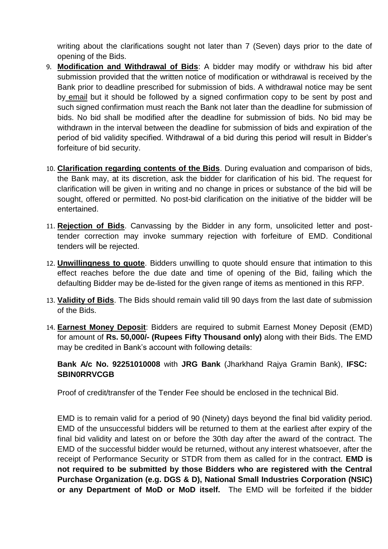writing about the clarifications sought not later than 7 (Seven) days prior to the date of opening of the Bids.

- 9. **Modification and Withdrawal of Bids**: A bidder may modify or withdraw his bid after submission provided that the written notice of modification or withdrawal is received by the Bank prior to deadline prescribed for submission of bids. A withdrawal notice may be sent by email but it should be followed by a signed confirmation copy to be sent by post and such signed confirmation must reach the Bank not later than the deadline for submission of bids. No bid shall be modified after the deadline for submission of bids. No bid may be withdrawn in the interval between the deadline for submission of bids and expiration of the period of bid validity specified. Withdrawal of a bid during this period will result in Bidder's forfeiture of bid security.
- 10. **Clarification regarding contents of the Bids**. During evaluation and comparison of bids, the Bank may, at its discretion, ask the bidder for clarification of his bid. The request for clarification will be given in writing and no change in prices or substance of the bid will be sought, offered or permitted. No post-bid clarification on the initiative of the bidder will be entertained.
- 11. **Rejection of Bids**. Canvassing by the Bidder in any form, unsolicited letter and posttender correction may invoke summary rejection with forfeiture of EMD. Conditional tenders will be rejected.
- 12. **Unwillingness to quote**. Bidders unwilling to quote should ensure that intimation to this effect reaches before the due date and time of opening of the Bid, failing which the defaulting Bidder may be de-listed for the given range of items as mentioned in this RFP.
- 13. **Validity of Bids**. The Bids should remain valid till 90 days from the last date of submission of the Bids.
- 14. **Earnest Money Deposit**: Bidders are required to submit Earnest Money Deposit (EMD) for amount of **Rs. 50,000/- (Rupees Fifty Thousand only)** along with their Bids. The EMD may be credited in Bank's account with following details:

**Bank A/c No. 92251010008** with **JRG Bank** (Jharkhand Rajya Gramin Bank), **IFSC: SBIN0RRVCGB**

Proof of credit/transfer of the Tender Fee should be enclosed in the technical Bid.

EMD is to remain valid for a period of 90 (Ninety) days beyond the final bid validity period. EMD of the unsuccessful bidders will be returned to them at the earliest after expiry of the final bid validity and latest on or before the 30th day after the award of the contract. The EMD of the successful bidder would be returned, without any interest whatsoever, after the receipt of Performance Security or STDR from them as called for in the contract. **EMD is not required to be submitted by those Bidders who are registered with the Central Purchase Organization (e.g. DGS & D), National Small Industries Corporation (NSIC) or any Department of MoD or MoD itself.** The EMD will be forfeited if the bidder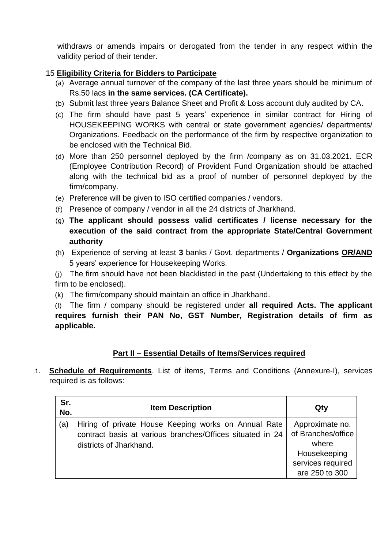withdraws or amends impairs or derogated from the tender in any respect within the validity period of their tender.

#### 15 **Eligibility Criteria for Bidders to Participate**

- (a) Average annual turnover of the company of the last three years should be minimum of Rs.50 lacs **in the same services. (CA Certificate).**
- (b) Submit last three years Balance Sheet and Profit & Loss account duly audited by CA.
- (c) The firm should have past 5 years' experience in similar contract for Hiring of HOUSEKEEPING WORKS with central or state government agencies/ departments/ Organizations. Feedback on the performance of the firm by respective organization to be enclosed with the Technical Bid.
- (d) More than 250 personnel deployed by the firm /company as on 31.03.2021. ECR (Employee Contribution Record) of Provident Fund Organization should be attached along with the technical bid as a proof of number of personnel deployed by the firm/company.
- (e) Preference will be given to ISO certified companies / vendors.
- (f) Presence of company / vendor in all the 24 districts of Jharkhand.
- (g) **The applicant should possess valid certificates / license necessary for the execution of the said contract from the appropriate State/Central Government authority**
- (h) Experience of serving at least **3** banks / Govt. departments / **Organizations OR/AND** 5 years' experience for Housekeeping Works.

(j) The firm should have not been blacklisted in the past (Undertaking to this effect by the firm to be enclosed).

(k) The firm/company should maintain an office in Jharkhand.

(l) The firm / company should be registered under **all required Acts. The applicant requires furnish their PAN No, GST Number, Registration details of firm as applicable.**

#### **Part II – Essential Details of Items/Services required**

1. **Schedule of Requirements**. List of items, Terms and Conditions (Annexure-I), services required is as follows:

| Sr.<br>No. | <b>Item Description</b>                                                                                           | Qty                                   |
|------------|-------------------------------------------------------------------------------------------------------------------|---------------------------------------|
| (a)        | Hiring of private House Keeping works on Annual Rate<br>contract basis at various branches/Offices situated in 24 | Approximate no.<br>of Branches/office |
|            | districts of Jharkhand.                                                                                           | where                                 |
|            |                                                                                                                   | Housekeeping                          |
|            |                                                                                                                   | services required                     |
|            |                                                                                                                   | are 250 to 300                        |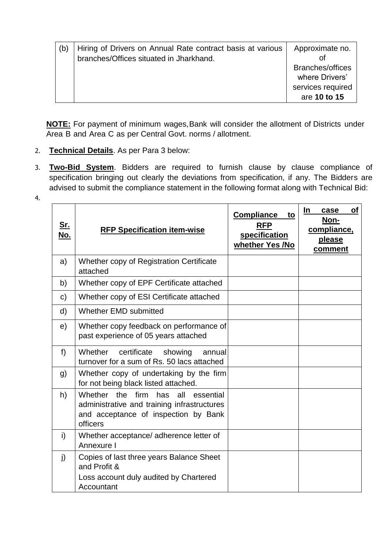| (b) | Hiring of Drivers on Annual Rate contract basis at various<br>branches/Offices situated in Jharkhand. | Approximate no.<br>Οt                     |
|-----|-------------------------------------------------------------------------------------------------------|-------------------------------------------|
|     |                                                                                                       | <b>Branches/offices</b><br>where Drivers' |
|     |                                                                                                       | services required<br>are 10 to 15         |

**NOTE:** For payment of minimum wages, Bank will consider the allotment of Districts under Area B and Area C as per Central Govt. norms / allotment.

2. **Technical Details**. As per Para 3 below:

4.

3. **Two-Bid System**. Bidders are required to furnish clause by clause compliance of specification bringing out clearly the deviations from specification, if any. The Bidders are advised to submit the compliance statement in the following format along with Technical Bid:

| <u>Sr.</u><br>No. | <b>RFP Specification item-wise</b>                                                                                                                | <b>Compliance</b><br>to<br><b>RFP</b><br>specification<br>whether Yes /No | <b>of</b><br><u>In</u><br>case<br>Non-<br>compliance,<br><b>please</b><br>comment |
|-------------------|---------------------------------------------------------------------------------------------------------------------------------------------------|---------------------------------------------------------------------------|-----------------------------------------------------------------------------------|
| a)                | Whether copy of Registration Certificate<br>attached                                                                                              |                                                                           |                                                                                   |
| b)                | Whether copy of EPF Certificate attached                                                                                                          |                                                                           |                                                                                   |
| $\mathsf{C}$      | Whether copy of ESI Certificate attached                                                                                                          |                                                                           |                                                                                   |
| d)                | Whether EMD submitted                                                                                                                             |                                                                           |                                                                                   |
| e)                | Whether copy feedback on performance of<br>past experience of 05 years attached                                                                   |                                                                           |                                                                                   |
| f)                | Whether<br>certificate<br>showing<br>annual<br>turnover for a sum of Rs. 50 lacs attached                                                         |                                                                           |                                                                                   |
| g)                | Whether copy of undertaking by the firm<br>for not being black listed attached.                                                                   |                                                                           |                                                                                   |
| h)                | Whether the<br>firm<br>has<br>all<br>essential<br>administrative and training infrastructures<br>and acceptance of inspection by Bank<br>officers |                                                                           |                                                                                   |
| i)                | Whether acceptance/ adherence letter of<br>Annexure I                                                                                             |                                                                           |                                                                                   |
| $\mathbf{j}$      | Copies of last three years Balance Sheet<br>and Profit &<br>Loss account duly audited by Chartered<br>Accountant                                  |                                                                           |                                                                                   |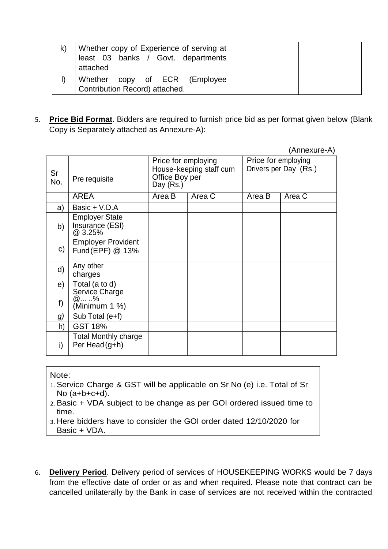| $\mathsf{k}$ | Whether copy of Experience of serving at<br>least 03 banks / Govt. departments<br>attached |  |
|--------------|--------------------------------------------------------------------------------------------|--|
|              | Whether copy of ECR (Employee)<br>Contribution Record) attached.                           |  |

5. **Price Bid Format**. Bidders are required to furnish price bid as per format given below (Blank Copy is Separately attached as Annexure-A):

|              |                                                     |                                                                               |        |                                              | (Annexure-A) |
|--------------|-----------------------------------------------------|-------------------------------------------------------------------------------|--------|----------------------------------------------|--------------|
| Sr<br>No.    | Pre requisite                                       | Price for employing<br>House-keeping staff cum<br>Office Boy per<br>Day (Rs.) |        | Price for employing<br>Drivers per Day (Rs.) |              |
|              | AREA                                                | Area B                                                                        | Area C | Area B                                       | Area C       |
| a)           | Basic + V.D.A                                       |                                                                               |        |                                              |              |
| b)           | <b>Employer State</b><br>Insurance (ESI)<br>@ 3.25% |                                                                               |        |                                              |              |
| $\mathsf{c}$ | <b>Employer Provident</b><br>Fund (EPF) @ 13%       |                                                                               |        |                                              |              |
| d)           | Any other<br>charges                                |                                                                               |        |                                              |              |
| e)           | Total (a to d)                                      |                                                                               |        |                                              |              |
| f)           | Service Charge<br>(Minimum 1 %)                     |                                                                               |        |                                              |              |
| g)           | Sub Total (e+f)                                     |                                                                               |        |                                              |              |
| h)           | <b>GST 18%</b>                                      |                                                                               |        |                                              |              |
| i)           | <b>Total Monthly charge</b><br>Per Head (g+h)       |                                                                               |        |                                              |              |

#### Note:

- 1. Service Charge & GST will be applicable on Sr No (e) i.e. Total of Sr No (a+b+c+d).
- 2. Basic + VDA subject to be change as per GOI ordered issued time to time.
- 3. Here bidders have to consider the GOI order dated 12/10/2020 for Basic + VDA.
- 6. **Delivery Period**. Delivery period of services of HOUSEKEEPING WORKS would be 7 days from the effective date of order or as and when required. Please note that contract can be cancelled unilaterally by the Bank in case of services are not received within the contracted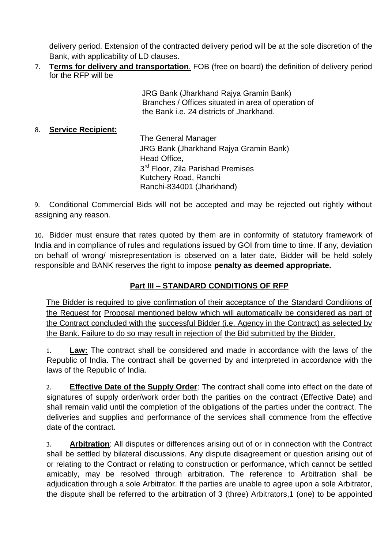delivery period. Extension of the contracted delivery period will be at the sole discretion of the Bank, with applicability of LD clauses.

7. **Terms for delivery and transportation**. FOB (free on board) the definition of delivery period for the RFP will be

> JRG Bank (Jharkhand Rajya Gramin Bank) Branches / Offices situated in area of operation of the Bank i.e. 24 districts of Jharkhand.

8. **Service Recipient:** 

The General Manager JRG Bank (Jharkhand Rajya Gramin Bank) Head Office, 3<sup>rd</sup> Floor, Zila Parishad Premises Kutchery Road, Ranchi Ranchi-834001 (Jharkhand)

9. Conditional Commercial Bids will not be accepted and may be rejected out rightly without assigning any reason.

10. Bidder must ensure that rates quoted by them are in conformity of statutory framework of India and in compliance of rules and regulations issued by GOI from time to time. If any, deviation on behalf of wrong/ misrepresentation is observed on a later date, Bidder will be held solely responsible and BANK reserves the right to impose **penalty as deemed appropriate.**

## **Part III – STANDARD CONDITIONS OF RFP**

The Bidder is required to give confirmation of their acceptance of the Standard Conditions of the Request for Proposal mentioned below which will automatically be considered as part of the Contract concluded with the successful Bidder (i.e. Agency in the Contract) as selected by the Bank. Failure to do so may result in rejection of the Bid submitted by the Bidder.

1. **Law:** The contract shall be considered and made in accordance with the laws of the Republic of India. The contract shall be governed by and interpreted in accordance with the laws of the Republic of India.

2. **Effective Date of the Supply Order**: The contract shall come into effect on the date of signatures of supply order/work order both the parities on the contract (Effective Date) and shall remain valid until the completion of the obligations of the parties under the contract. The deliveries and supplies and performance of the services shall commence from the effective date of the contract.

3. **Arbitration**: All disputes or differences arising out of or in connection with the Contract shall be settled by bilateral discussions. Any dispute disagreement or question arising out of or relating to the Contract or relating to construction or performance, which cannot be settled amicably, may be resolved through arbitration. The reference to Arbitration shall be adjudication through a sole Arbitrator. If the parties are unable to agree upon a sole Arbitrator, the dispute shall be referred to the arbitration of 3 (three) Arbitrators,1 (one) to be appointed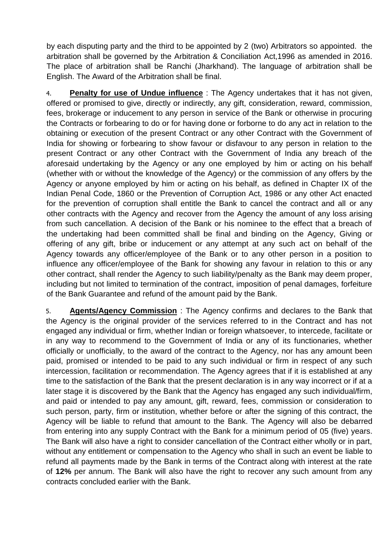by each disputing party and the third to be appointed by 2 (two) Arbitrators so appointed. the arbitration shall be governed by the Arbitration & Conciliation Act,1996 as amended in 2016. The place of arbitration shall be Ranchi (Jharkhand). The language of arbitration shall be English. The Award of the Arbitration shall be final.

4. **Penalty for use of Undue influence** : The Agency undertakes that it has not given, offered or promised to give, directly or indirectly, any gift, consideration, reward, commission, fees, brokerage or inducement to any person in service of the Bank or otherwise in procuring the Contracts or forbearing to do or for having done or forborne to do any act in relation to the obtaining or execution of the present Contract or any other Contract with the Government of India for showing or forbearing to show favour or disfavour to any person in relation to the present Contract or any other Contract with the Government of India any breach of the aforesaid undertaking by the Agency or any one employed by him or acting on his behalf (whether with or without the knowledge of the Agency) or the commission of any offers by the Agency or anyone employed by him or acting on his behalf, as defined in Chapter IX of the Indian Penal Code, 1860 or the Prevention of Corruption Act, 1986 or any other Act enacted for the prevention of corruption shall entitle the Bank to cancel the contract and all or any other contracts with the Agency and recover from the Agency the amount of any loss arising from such cancellation. A decision of the Bank or his nominee to the effect that a breach of the undertaking had been committed shall be final and binding on the Agency, Giving or offering of any gift, bribe or inducement or any attempt at any such act on behalf of the Agency towards any officer/employee of the Bank or to any other person in a position to influence any officer/employee of the Bank for showing any favour in relation to this or any other contract, shall render the Agency to such liability/penalty as the Bank may deem proper, including but not limited to termination of the contract, imposition of penal damages, forfeiture of the Bank Guarantee and refund of the amount paid by the Bank.

5. **Agents/Agency Commission** : The Agency confirms and declares to the Bank that the Agency is the original provider of the services referred to in the Contract and has not engaged any individual or firm, whether Indian or foreign whatsoever, to intercede, facilitate or in any way to recommend to the Government of India or any of its functionaries, whether officially or unofficially, to the award of the contract to the Agency, nor has any amount been paid, promised or intended to be paid to any such individual or firm in respect of any such intercession, facilitation or recommendation. The Agency agrees that if it is established at any time to the satisfaction of the Bank that the present declaration is in any way incorrect or if at a later stage it is discovered by the Bank that the Agency has engaged any such individual/firm, and paid or intended to pay any amount, gift, reward, fees, commission or consideration to such person, party, firm or institution, whether before or after the signing of this contract, the Agency will be liable to refund that amount to the Bank. The Agency will also be debarred from entering into any supply Contract with the Bank for a minimum period of 05 (five) years. The Bank will also have a right to consider cancellation of the Contract either wholly or in part, without any entitlement or compensation to the Agency who shall in such an event be liable to refund all payments made by the Bank in terms of the Contract along with interest at the rate of **12%** per annum. The Bank will also have the right to recover any such amount from any contracts concluded earlier with the Bank.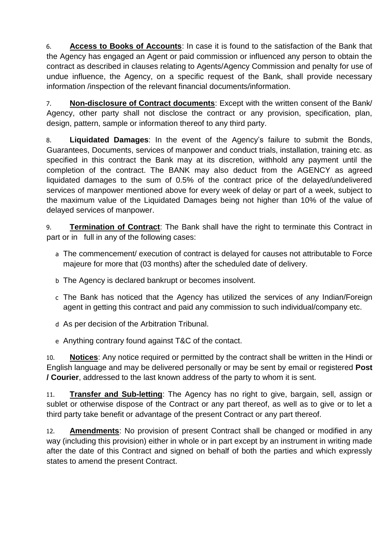6. **Access to Books of Accounts**: In case it is found to the satisfaction of the Bank that the Agency has engaged an Agent or paid commission or influenced any person to obtain the contract as described in clauses relating to Agents/Agency Commission and penalty for use of undue influence, the Agency, on a specific request of the Bank, shall provide necessary information /inspection of the relevant financial documents/information.

7. **Non-disclosure of Contract documents**: Except with the written consent of the Bank/ Agency, other party shall not disclose the contract or any provision, specification, plan, design, pattern, sample or information thereof to any third party.

8. **Liquidated Damages**: In the event of the Agency's failure to submit the Bonds, Guarantees, Documents, services of manpower and conduct trials, installation, training etc. as specified in this contract the Bank may at its discretion, withhold any payment until the completion of the contract. The BANK may also deduct from the AGENCY as agreed liquidated damages to the sum of 0.5% of the contract price of the delayed/undelivered services of manpower mentioned above for every week of delay or part of a week, subject to the maximum value of the Liquidated Damages being not higher than 10% of the value of delayed services of manpower.

9. **Termination of Contract**: The Bank shall have the right to terminate this Contract in part or in full in any of the following cases:

- a The commencement/ execution of contract is delayed for causes not attributable to Force majeure for more that (03 months) after the scheduled date of delivery.
- b The Agency is declared bankrupt or becomes insolvent.
- c The Bank has noticed that the Agency has utilized the services of any Indian/Foreign agent in getting this contract and paid any commission to such individual/company etc.
- d As per decision of the Arbitration Tribunal.
- e Anything contrary found against T&C of the contact.

10. **Notices**: Any notice required or permitted by the contract shall be written in the Hindi or English language and may be delivered personally or may be sent by email or registered **Post / Courier**, addressed to the last known address of the party to whom it is sent.

11. **Transfer and Sub-letting**: The Agency has no right to give, bargain, sell, assign or sublet or otherwise dispose of the Contract or any part thereof, as well as to give or to let a third party take benefit or advantage of the present Contract or any part thereof.

12. **Amendments**: No provision of present Contract shall be changed or modified in any way (including this provision) either in whole or in part except by an instrument in writing made after the date of this Contract and signed on behalf of both the parties and which expressly states to amend the present Contract.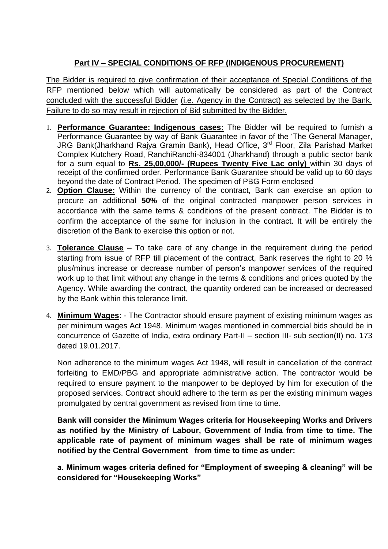# **Part IV – SPECIAL CONDITIONS OF RFP (INDIGENOUS PROCUREMENT)**

The Bidder is required to give confirmation of their acceptance of Special Conditions of the RFP mentioned below which will automatically be considered as part of the Contract concluded with the successful Bidder (i.e. Agency in the Contract) as selected by the Bank. Failure to do so may result in rejection of Bid submitted by the Bidder.

- 1. **Performance Guarantee: Indigenous cases:** The Bidder will be required to furnish a Performance Guarantee by way of Bank Guarantee in favor of the 'The General Manager, JRG Bank(Jharkhand Rajya Gramin Bank), Head Office, 3<sup>rd</sup> Floor, Zila Parishad Market Complex Kutchery Road, RanchiRanchi-834001 (Jharkhand) through a public sector bank for a sum equal to **Rs. 25,00,000/- (Rupees Twenty Five Lac only)** within 30 days of receipt of the confirmed order. Performance Bank Guarantee should be valid up to 60 days beyond the date of Contract Period. The specimen of PBG Form enclosed
- 2. **Option Clause:** Within the currency of the contract, Bank can exercise an option to procure an additional **50%** of the original contracted manpower person services in accordance with the same terms & conditions of the present contract. The Bidder is to confirm the acceptance of the same for inclusion in the contract. It will be entirely the discretion of the Bank to exercise this option or not.
- 3. **Tolerance Clause** To take care of any change in the requirement during the period starting from issue of RFP till placement of the contract, Bank reserves the right to 20 % plus/minus increase or decrease number of person's manpower services of the required work up to that limit without any change in the terms & conditions and prices quoted by the Agency. While awarding the contract, the quantity ordered can be increased or decreased by the Bank within this tolerance limit.
- 4. **Minimum Wages**: The Contractor should ensure payment of existing minimum wages as per minimum wages Act 1948. Minimum wages mentioned in commercial bids should be in concurrence of Gazette of India, extra ordinary Part-II – section III- sub section(II) no. 173 dated 19.01.2017.

Non adherence to the minimum wages Act 1948, will result in cancellation of the contract forfeiting to EMD/PBG and appropriate administrative action. The contractor would be required to ensure payment to the manpower to be deployed by him for execution of the proposed services. Contract should adhere to the term as per the existing minimum wages promulgated by central government as revised from time to time.

**Bank will consider the Minimum Wages criteria for Housekeeping Works and Drivers as notified by the Ministry of Labour, Government of India from time to time. The applicable rate of payment of minimum wages shall be rate of minimum wages notified by the Central Government from time to time as under:**

**a. Minimum wages criteria defined for "Employment of sweeping & cleaning" will be considered for "Housekeeping Works"**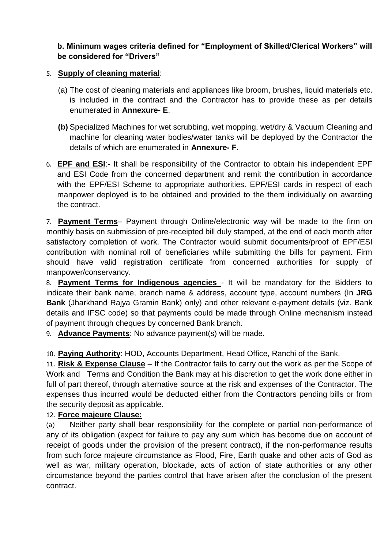#### **b. Minimum wages criteria defined for "Employment of Skilled/Clerical Workers" will be considered for "Drivers"**

## 5. **Supply of cleaning material**:

- (a) The cost of cleaning materials and appliances like broom, brushes, liquid materials etc. is included in the contract and the Contractor has to provide these as per details enumerated in **Annexure- E**.
- **(b)** Specialized Machines for wet scrubbing, wet mopping, wet/dry & Vacuum Cleaning and machine for cleaning water bodies/water tanks will be deployed by the Contractor the details of which are enumerated in **Annexure- F**.
- 6. **EPF and ESI**:- It shall be responsibility of the Contractor to obtain his independent EPF and ESI Code from the concerned department and remit the contribution in accordance with the EPF/ESI Scheme to appropriate authorities. EPF/ESI cards in respect of each manpower deployed is to be obtained and provided to the them individually on awarding the contract.

7. **Payment Terms**– Payment through Online/electronic way will be made to the firm on monthly basis on submission of pre-receipted bill duly stamped, at the end of each month after satisfactory completion of work. The Contractor would submit documents/proof of EPF/ESI contribution with nominal roll of beneficiaries while submitting the bills for payment. Firm should have valid registration certificate from concerned authorities for supply of manpower/conservancy.

8. **Payment Terms for Indigenous agencies** - It will be mandatory for the Bidders to indicate their bank name, branch name & address, account type, account numbers (In **JRG Bank** (Jharkhand Rajya Gramin Bank) only) and other relevant e-payment details (viz. Bank details and IFSC code) so that payments could be made through Online mechanism instead of payment through cheques by concerned Bank branch.

9. **Advance Payments**: No advance payment(s) will be made.

10. **Paying Authority**: HOD, Accounts Department, Head Office, Ranchi of the Bank.

11. **Risk & Expense Clause** – If the Contractor fails to carry out the work as per the Scope of Work and Terms and Condition the Bank may at his discretion to get the work done either in full of part thereof, through alternative source at the risk and expenses of the Contractor. The expenses thus incurred would be deducted either from the Contractors pending bills or from the security deposit as applicable.

## 12. **Force majeure Clause:**

(a) Neither party shall bear responsibility for the complete or partial non-performance of any of its obligation (expect for failure to pay any sum which has become due on account of receipt of goods under the provision of the present contract), if the non-performance results from such force majeure circumstance as Flood, Fire, Earth quake and other acts of God as well as war, military operation, blockade, acts of action of state authorities or any other circumstance beyond the parties control that have arisen after the conclusion of the present contract.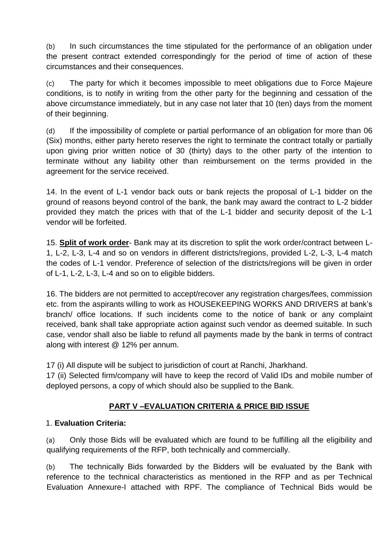(b) In such circumstances the time stipulated for the performance of an obligation under the present contract extended correspondingly for the period of time of action of these circumstances and their consequences.

(c) The party for which it becomes impossible to meet obligations due to Force Majeure conditions, is to notify in writing from the other party for the beginning and cessation of the above circumstance immediately, but in any case not later that 10 (ten) days from the moment of their beginning.

(d) If the impossibility of complete or partial performance of an obligation for more than 06 (Six) months, either party hereto reserves the right to terminate the contract totally or partially upon giving prior written notice of 30 (thirty) days to the other party of the intention to terminate without any liability other than reimbursement on the terms provided in the agreement for the service received.

14. In the event of L-1 vendor back outs or bank rejects the proposal of L-1 bidder on the ground of reasons beyond control of the bank, the bank may award the contract to L-2 bidder provided they match the prices with that of the L-1 bidder and security deposit of the L-1 vendor will be forfeited.

15. **Split of work order**- Bank may at its discretion to split the work order/contract between L-1, L-2, L-3, L-4 and so on vendors in different districts/regions, provided L-2, L-3, L-4 match the codes of L-1 vendor. Preference of selection of the districts/regions will be given in order of L-1, L-2, L-3, L-4 and so on to eligible bidders.

16. The bidders are not permitted to accept/recover any registration charges/fees, commission etc. from the aspirants willing to work as HOUSEKEEPING WORKS AND DRIVERS at bank's branch/ office locations. If such incidents come to the notice of bank or any complaint received, bank shall take appropriate action against such vendor as deemed suitable. In such case, vendor shall also be liable to refund all payments made by the bank in terms of contract along with interest @ 12% per annum.

17 (i) All dispute will be subject to jurisdiction of court at Ranchi, Jharkhand.

17 (ii) Selected firm/company will have to keep the record of Valid IDs and mobile number of deployed persons, a copy of which should also be supplied to the Bank.

## **PART V –EVALUATION CRITERIA & PRICE BID ISSUE**

## 1. **Evaluation Criteria:**

(a) Only those Bids will be evaluated which are found to be fulfilling all the eligibility and qualifying requirements of the RFP, both technically and commercially.

(b) The technically Bids forwarded by the Bidders will be evaluated by the Bank with reference to the technical characteristics as mentioned in the RFP and as per Technical Evaluation Annexure-I attached with RPF. The compliance of Technical Bids would be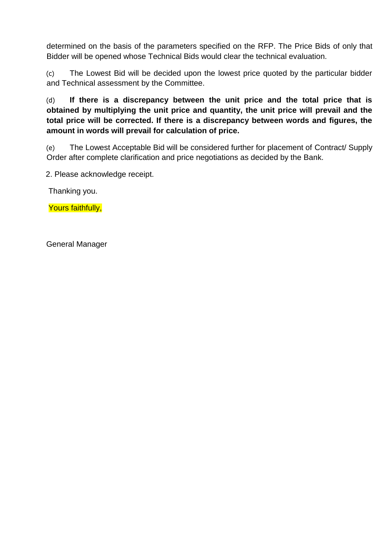determined on the basis of the parameters specified on the RFP. The Price Bids of only that Bidder will be opened whose Technical Bids would clear the technical evaluation.

(c) The Lowest Bid will be decided upon the lowest price quoted by the particular bidder and Technical assessment by the Committee.

(d) **If there is a discrepancy between the unit price and the total price that is obtained by multiplying the unit price and quantity, the unit price will prevail and the total price will be corrected. If there is a discrepancy between words and figures, the amount in words will prevail for calculation of price.** 

(e) The Lowest Acceptable Bid will be considered further for placement of Contract/ Supply Order after complete clarification and price negotiations as decided by the Bank.

2. Please acknowledge receipt.

Thanking you.

Yours faithfully,

General Manager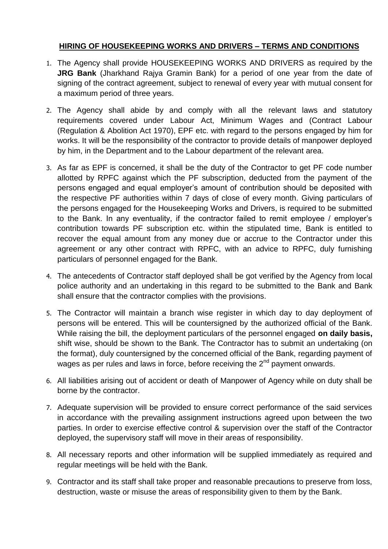#### **HIRING OF HOUSEKEEPING WORKS AND DRIVERS – TERMS AND CONDITIONS**

- 1. The Agency shall provide HOUSEKEEPING WORKS AND DRIVERS as required by the **JRG Bank** (Jharkhand Rajya Gramin Bank) for a period of one year from the date of signing of the contract agreement, subject to renewal of every year with mutual consent for a maximum period of three years.
- 2. The Agency shall abide by and comply with all the relevant laws and statutory requirements covered under Labour Act, Minimum Wages and (Contract Labour (Regulation & Abolition Act 1970), EPF etc. with regard to the persons engaged by him for works. It will be the responsibility of the contractor to provide details of manpower deployed by him, in the Department and to the Labour department of the relevant area.
- 3. As far as EPF is concerned, it shall be the duty of the Contractor to get PF code number allotted by RPFC against which the PF subscription, deducted from the payment of the persons engaged and equal employer's amount of contribution should be deposited with the respective PF authorities within 7 days of close of every month. Giving particulars of the persons engaged for the Housekeeping Works and Drivers, is required to be submitted to the Bank. In any eventuality, if the contractor failed to remit employee / employer's contribution towards PF subscription etc. within the stipulated time, Bank is entitled to recover the equal amount from any money due or accrue to the Contractor under this agreement or any other contract with RPFC, with an advice to RPFC, duly furnishing particulars of personnel engaged for the Bank.
- 4. The antecedents of Contractor staff deployed shall be got verified by the Agency from local police authority and an undertaking in this regard to be submitted to the Bank and Bank shall ensure that the contractor complies with the provisions.
- 5. The Contractor will maintain a branch wise register in which day to day deployment of persons will be entered. This will be countersigned by the authorized official of the Bank. While raising the bill, the deployment particulars of the personnel engaged **on daily basis,** shift wise, should be shown to the Bank. The Contractor has to submit an undertaking (on the format), duly countersigned by the concerned official of the Bank, regarding payment of wages as per rules and laws in force, before receiving the  $2<sup>nd</sup>$  payment onwards.
- 6. All liabilities arising out of accident or death of Manpower of Agency while on duty shall be borne by the contractor.
- 7. Adequate supervision will be provided to ensure correct performance of the said services in accordance with the prevailing assignment instructions agreed upon between the two parties. In order to exercise effective control & supervision over the staff of the Contractor deployed, the supervisory staff will move in their areas of responsibility.
- 8. All necessary reports and other information will be supplied immediately as required and regular meetings will be held with the Bank.
- 9. Contractor and its staff shall take proper and reasonable precautions to preserve from loss, destruction, waste or misuse the areas of responsibility given to them by the Bank.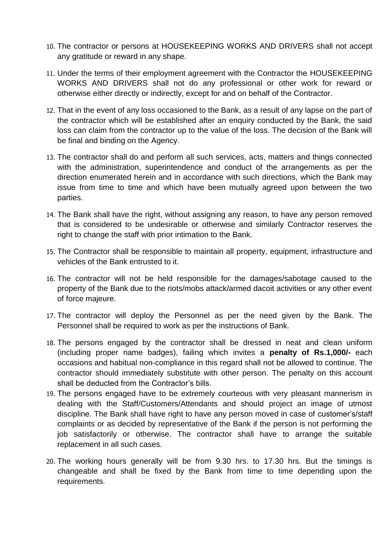- 10. The contractor or persons at HOUSEKEEPING WORKS AND DRIVERS shall not accept any gratitude or reward in any shape.
- 11. Under the terms of their employment agreement with the Contractor the HOUSEKEEPING WORKS AND DRIVERS shall not do any professional or other work for reward or otherwise either directly or indirectly, except for and on behalf of the Contractor.
- 12. That in the event of any loss occasioned to the Bank, as a result of any lapse on the part of the contractor which will be established after an enquiry conducted by the Bank, the said loss can claim from the contractor up to the value of the loss. The decision of the Bank will be final and binding on the Agency.
- 13. The contractor shall do and perform all such services, acts, matters and things connected with the administration, superintendence and conduct of the arrangements as per the direction enumerated herein and in accordance with such directions, which the Bank may issue from time to time and which have been mutually agreed upon between the two parties.
- 14. The Bank shall have the right, without assigning any reason, to have any person removed that is considered to be undesirable or otherwise and similarly Contractor reserves the right to change the staff with prior intimation to the Bank.
- 15. The Contractor shall be responsible to maintain all property, equipment, infrastructure and vehicles of the Bank entrusted to it.
- 16. The contractor will not be held responsible for the damages/sabotage caused to the property of the Bank due to the riots/mobs attack/armed dacoit activities or any other event of force majeure.
- 17. The contractor will deploy the Personnel as per the need given by the Bank. The Personnel shall be required to work as per the instructions of Bank.
- 18. The persons engaged by the contractor shall be dressed in neat and clean uniform (including proper name badges), failing which invites a **penalty of Rs.1,000/-** each occasions and habitual non-compliance in this regard shall not be allowed to continue. The contractor should immediately substitute with other person. The penalty on this account shall be deducted from the Contractor's bills.
- 19. The persons engaged have to be extremely courteous with very pleasant mannerism in dealing with the Staff/Customers/Attendants and should project an image of utmost discipline. The Bank shall have right to have any person moved in case of customer's/staff complaints or as decided by representative of the Bank if the person is not performing the job satisfactorily or otherwise. The contractor shall have to arrange the suitable replacement in all such cases.
- 20. The working hours generally will be from 9.30 hrs. to 17.30 hrs. But the timings is changeable and shall be fixed by the Bank from time to time depending upon the requirements.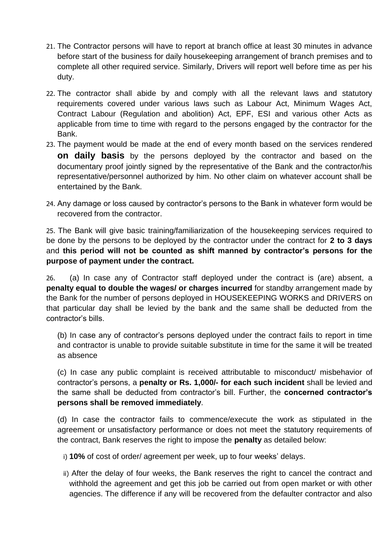- 21. The Contractor persons will have to report at branch office at least 30 minutes in advance before start of the business for daily housekeeping arrangement of branch premises and to complete all other required service. Similarly, Drivers will report well before time as per his duty.
- 22. The contractor shall abide by and comply with all the relevant laws and statutory requirements covered under various laws such as Labour Act, Minimum Wages Act, Contract Labour (Regulation and abolition) Act, EPF, ESI and various other Acts as applicable from time to time with regard to the persons engaged by the contractor for the Bank.
- 23. The payment would be made at the end of every month based on the services rendered **on daily basis** by the persons deployed by the contractor and based on the documentary proof jointly signed by the representative of the Bank and the contractor/his representative/personnel authorized by him. No other claim on whatever account shall be entertained by the Bank.
- 24. Any damage or loss caused by contractor's persons to the Bank in whatever form would be recovered from the contractor.

25. The Bank will give basic training/familiarization of the housekeeping services required to be done by the persons to be deployed by the contractor under the contract for **2 to 3 days** and **this period will not be counted as shift manned by contractor's persons for the purpose of payment under the contract.**

26. (a) In case any of Contractor staff deployed under the contract is (are) absent, a **penalty equal to double the wages/ or charges incurred** for standby arrangement made by the Bank for the number of persons deployed in HOUSEKEEPING WORKS and DRIVERS on that particular day shall be levied by the bank and the same shall be deducted from the contractor's bills.

(b) In case any of contractor's persons deployed under the contract fails to report in time and contractor is unable to provide suitable substitute in time for the same it will be treated as absence

(c) In case any public complaint is received attributable to misconduct/ misbehavior of contractor's persons, a **penalty or Rs. 1,000/- for each such incident** shall be levied and the same shall be deducted from contractor's bill. Further, the **concerned contractor's persons shall be removed immediately**.

(d) In case the contractor fails to commence/execute the work as stipulated in the agreement or unsatisfactory performance or does not meet the statutory requirements of the contract, Bank reserves the right to impose the **penalty** as detailed below:

- i) **10%** of cost of order/ agreement per week, up to four weeks' delays.
- ii) After the delay of four weeks, the Bank reserves the right to cancel the contract and withhold the agreement and get this job be carried out from open market or with other agencies. The difference if any will be recovered from the defaulter contractor and also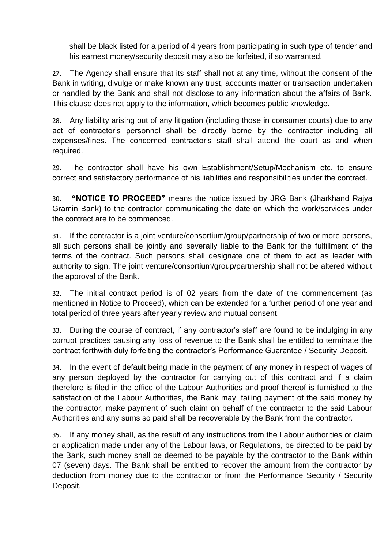shall be black listed for a period of 4 years from participating in such type of tender and his earnest money/security deposit may also be forfeited, if so warranted.

27. The Agency shall ensure that its staff shall not at any time, without the consent of the Bank in writing, divulge or make known any trust, accounts matter or transaction undertaken or handled by the Bank and shall not disclose to any information about the affairs of Bank. This clause does not apply to the information, which becomes public knowledge.

28. Any liability arising out of any litigation (including those in consumer courts) due to any act of contractor's personnel shall be directly borne by the contractor including all expenses/fines. The concerned contractor's staff shall attend the court as and when required.

29. The contractor shall have his own Establishment/Setup/Mechanism etc. to ensure correct and satisfactory performance of his liabilities and responsibilities under the contract.

30. **"NOTICE TO PROCEED"** means the notice issued by JRG Bank (Jharkhand Rajya Gramin Bank) to the contractor communicating the date on which the work/services under the contract are to be commenced.

31. If the contractor is a joint venture/consortium/group/partnership of two or more persons, all such persons shall be jointly and severally liable to the Bank for the fulfillment of the terms of the contract. Such persons shall designate one of them to act as leader with authority to sign. The joint venture/consortium/group/partnership shall not be altered without the approval of the Bank.

32. The initial contract period is of 02 years from the date of the commencement (as mentioned in Notice to Proceed), which can be extended for a further period of one year and total period of three years after yearly review and mutual consent.

33. During the course of contract, if any contractor's staff are found to be indulging in any corrupt practices causing any loss of revenue to the Bank shall be entitled to terminate the contract forthwith duly forfeiting the contractor's Performance Guarantee / Security Deposit.

34. In the event of default being made in the payment of any money in respect of wages of any person deployed by the contractor for carrying out of this contract and if a claim therefore is filed in the office of the Labour Authorities and proof thereof is furnished to the satisfaction of the Labour Authorities, the Bank may, failing payment of the said money by the contractor, make payment of such claim on behalf of the contractor to the said Labour Authorities and any sums so paid shall be recoverable by the Bank from the contractor.

35. If any money shall, as the result of any instructions from the Labour authorities or claim or application made under any of the Labour laws, or Regulations, be directed to be paid by the Bank, such money shall be deemed to be payable by the contractor to the Bank within 07 (seven) days. The Bank shall be entitled to recover the amount from the contractor by deduction from money due to the contractor or from the Performance Security / Security Deposit.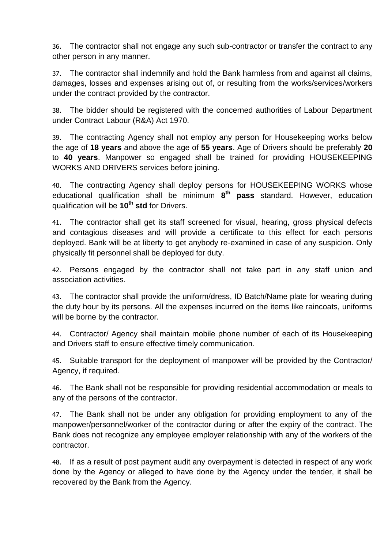36. The contractor shall not engage any such sub-contractor or transfer the contract to any other person in any manner.

37. The contractor shall indemnify and hold the Bank harmless from and against all claims, damages, losses and expenses arising out of, or resulting from the works/services/workers under the contract provided by the contractor.

38. The bidder should be registered with the concerned authorities of Labour Department under Contract Labour (R&A) Act 1970.

39. The contracting Agency shall not employ any person for Housekeeping works below the age of **18 years** and above the age of **55 years**. Age of Drivers should be preferably **20** to **40 years**. Manpower so engaged shall be trained for providing HOUSEKEEPING WORKS AND DRIVERS services before joining.

40. The contracting Agency shall deploy persons for HOUSEKEEPING WORKS whose educational qualification shall be minimum **8 th pass** standard. However, education qualification will be **10th std** for Drivers.

41. The contractor shall get its staff screened for visual, hearing, gross physical defects and contagious diseases and will provide a certificate to this effect for each persons deployed. Bank will be at liberty to get anybody re-examined in case of any suspicion. Only physically fit personnel shall be deployed for duty.

42. Persons engaged by the contractor shall not take part in any staff union and association activities.

43. The contractor shall provide the uniform/dress, ID Batch/Name plate for wearing during the duty hour by its persons. All the expenses incurred on the items like raincoats, uniforms will be borne by the contractor.

44. Contractor/ Agency shall maintain mobile phone number of each of its Housekeeping and Drivers staff to ensure effective timely communication.

45. Suitable transport for the deployment of manpower will be provided by the Contractor/ Agency, if required.

46. The Bank shall not be responsible for providing residential accommodation or meals to any of the persons of the contractor.

47. The Bank shall not be under any obligation for providing employment to any of the manpower/personnel/worker of the contractor during or after the expiry of the contract. The Bank does not recognize any employee employer relationship with any of the workers of the contractor.

48. If as a result of post payment audit any overpayment is detected in respect of any work done by the Agency or alleged to have done by the Agency under the tender, it shall be recovered by the Bank from the Agency.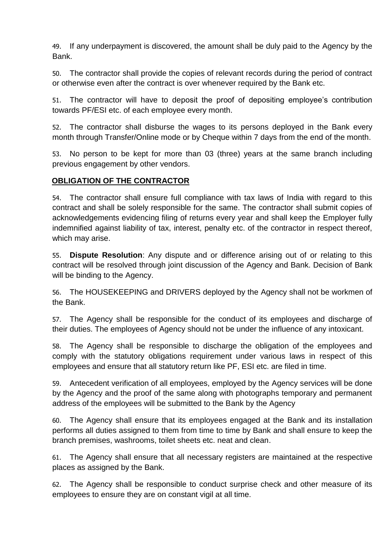49. If any underpayment is discovered, the amount shall be duly paid to the Agency by the Bank.

50. The contractor shall provide the copies of relevant records during the period of contract or otherwise even after the contract is over whenever required by the Bank etc.

51. The contractor will have to deposit the proof of depositing employee's contribution towards PF/ESI etc. of each employee every month.

52. The contractor shall disburse the wages to its persons deployed in the Bank every month through Transfer/Online mode or by Cheque within 7 days from the end of the month.

53. No person to be kept for more than 03 (three) years at the same branch including previous engagement by other vendors.

#### **OBLIGATION OF THE CONTRACTOR**

54. The contractor shall ensure full compliance with tax laws of India with regard to this contract and shall be solely responsible for the same. The contractor shall submit copies of acknowledgements evidencing filing of returns every year and shall keep the Employer fully indemnified against liability of tax, interest, penalty etc. of the contractor in respect thereof, which may arise.

55. **Dispute Resolution**: Any dispute and or difference arising out of or relating to this contract will be resolved through joint discussion of the Agency and Bank. Decision of Bank will be binding to the Agency.

56. The HOUSEKEEPING and DRIVERS deployed by the Agency shall not be workmen of the Bank.

57. The Agency shall be responsible for the conduct of its employees and discharge of their duties. The employees of Agency should not be under the influence of any intoxicant.

58. The Agency shall be responsible to discharge the obligation of the employees and comply with the statutory obligations requirement under various laws in respect of this employees and ensure that all statutory return like PF, ESI etc. are filed in time.

59. Antecedent verification of all employees, employed by the Agency services will be done by the Agency and the proof of the same along with photographs temporary and permanent address of the employees will be submitted to the Bank by the Agency

60. The Agency shall ensure that its employees engaged at the Bank and its installation performs all duties assigned to them from time to time by Bank and shall ensure to keep the branch premises, washrooms, toilet sheets etc. neat and clean.

61. The Agency shall ensure that all necessary registers are maintained at the respective places as assigned by the Bank.

62. The Agency shall be responsible to conduct surprise check and other measure of its employees to ensure they are on constant vigil at all time.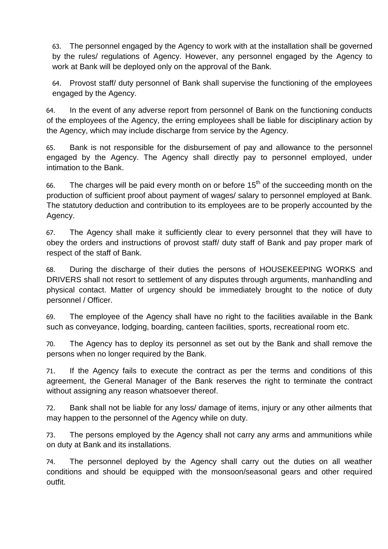63. The personnel engaged by the Agency to work with at the installation shall be governed by the rules/ regulations of Agency. However, any personnel engaged by the Agency to work at Bank will be deployed only on the approval of the Bank.

64. Provost staff/ duty personnel of Bank shall supervise the functioning of the employees engaged by the Agency.

64. In the event of any adverse report from personnel of Bank on the functioning conducts of the employees of the Agency, the erring employees shall be liable for disciplinary action by the Agency, which may include discharge from service by the Agency.

65. Bank is not responsible for the disbursement of pay and allowance to the personnel engaged by the Agency. The Agency shall directly pay to personnel employed, under intimation to the Bank.

66. The charges will be paid every month on or before  $15<sup>th</sup>$  of the succeeding month on the production of sufficient proof about payment of wages/ salary to personnel employed at Bank. The statutory deduction and contribution to its employees are to be properly accounted by the Agency.

67. The Agency shall make it sufficiently clear to every personnel that they will have to obey the orders and instructions of provost staff/ duty staff of Bank and pay proper mark of respect of the staff of Bank.

68. During the discharge of their duties the persons of HOUSEKEEPING WORKS and DRIVERS shall not resort to settlement of any disputes through arguments, manhandling and physical contact. Matter of urgency should be immediately brought to the notice of duty personnel / Officer.

69. The employee of the Agency shall have no right to the facilities available in the Bank such as conveyance, lodging, boarding, canteen facilities, sports, recreational room etc.

70. The Agency has to deploy its personnel as set out by the Bank and shall remove the persons when no longer required by the Bank.

71. If the Agency fails to execute the contract as per the terms and conditions of this agreement, the General Manager of the Bank reserves the right to terminate the contract without assigning any reason whatsoever thereof.

72. Bank shall not be liable for any loss/ damage of items, injury or any other ailments that may happen to the personnel of the Agency while on duty.

73. The persons employed by the Agency shall not carry any arms and ammunitions while on duty at Bank and its installations.

74. The personnel deployed by the Agency shall carry out the duties on all weather conditions and should be equipped with the monsoon/seasonal gears and other required outfit.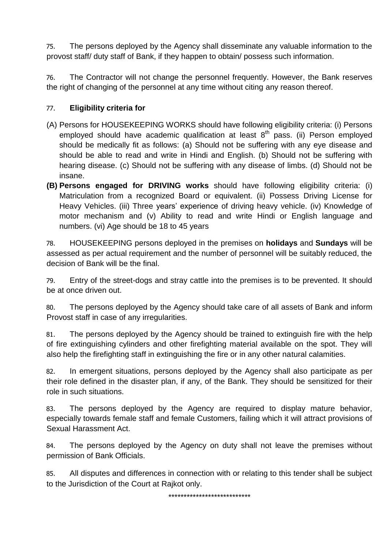75. The persons deployed by the Agency shall disseminate any valuable information to the provost staff/ duty staff of Bank, if they happen to obtain/ possess such information.

76. The Contractor will not change the personnel frequently. However, the Bank reserves the right of changing of the personnel at any time without citing any reason thereof.

#### 77. **Eligibility criteria for**

- (A) Persons for HOUSEKEEPING WORKS should have following eligibility criteria: (i) Persons employed should have academic qualification at least 8<sup>th</sup> pass. (ii) Person employed should be medically fit as follows: (a) Should not be suffering with any eye disease and should be able to read and write in Hindi and English. (b) Should not be suffering with hearing disease. (c) Should not be suffering with any disease of limbs. (d) Should not be insane.
- **(B) Persons engaged for DRIVING works** should have following eligibility criteria: (i) Matriculation from a recognized Board or equivalent. (ii) Possess Driving License for Heavy Vehicles. (iii) Three years' experience of driving heavy vehicle. (iv) Knowledge of motor mechanism and (v) Ability to read and write Hindi or English language and numbers. (vi) Age should be 18 to 45 years

78. HOUSEKEEPING persons deployed in the premises on **holidays** and **Sundays** will be assessed as per actual requirement and the number of personnel will be suitably reduced, the decision of Bank will be the final.

79. Entry of the street-dogs and stray cattle into the premises is to be prevented. It should be at once driven out.

80. The persons deployed by the Agency should take care of all assets of Bank and inform Provost staff in case of any irregularities.

81. The persons deployed by the Agency should be trained to extinguish fire with the help of fire extinguishing cylinders and other firefighting material available on the spot. They will also help the firefighting staff in extinguishing the fire or in any other natural calamities.

82. In emergent situations, persons deployed by the Agency shall also participate as per their role defined in the disaster plan, if any, of the Bank. They should be sensitized for their role in such situations.

83. The persons deployed by the Agency are required to display mature behavior, especially towards female staff and female Customers, failing which it will attract provisions of Sexual Harassment Act.

84. The persons deployed by the Agency on duty shall not leave the premises without permission of Bank Officials.

85. All disputes and differences in connection with or relating to this tender shall be subject to the Jurisdiction of the Court at Rajkot only.

\*\*\*\*\*\*\*\*\*\*\*\*\*\*\*\*\*\*\*\*\*\*\*\*\*\*\*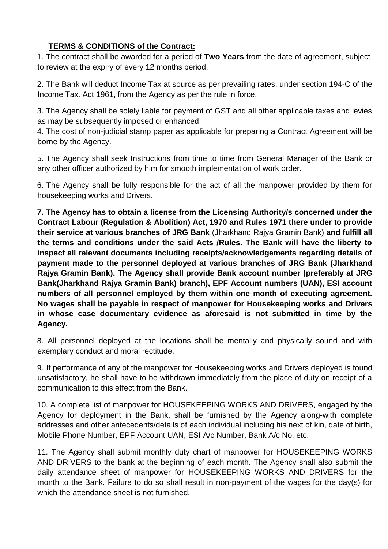## **TERMS & CONDITIONS of the Contract:**

1. The contract shall be awarded for a period of **Two Years** from the date of agreement, subject to review at the expiry of every 12 months period.

2. The Bank will deduct Income Tax at source as per prevailing rates, under section 194-C of the Income Tax. Act 1961, from the Agency as per the rule in force.

3. The Agency shall be solely liable for payment of GST and all other applicable taxes and levies as may be subsequently imposed or enhanced.

4. The cost of non-judicial stamp paper as applicable for preparing a Contract Agreement will be borne by the Agency.

5. The Agency shall seek Instructions from time to time from General Manager of the Bank or any other officer authorized by him for smooth implementation of work order.

6. The Agency shall be fully responsible for the act of all the manpower provided by them for housekeeping works and Drivers.

**7. The Agency has to obtain a license from the Licensing Authority/s concerned under the Contract Labour (Regulation & Abolition) Act, 1970 and Rules 1971 there under to provide their service at various branches of JRG Bank** (Jharkhand Rajya Gramin Bank) **and fulfill all the terms and conditions under the said Acts /Rules. The Bank will have the liberty to inspect all relevant documents including receipts/acknowledgements regarding details of payment made to the personnel deployed at various branches of JRG Bank (Jharkhand Rajya Gramin Bank). The Agency shall provide Bank account number (preferably at JRG Bank(Jharkhand Rajya Gramin Bank) branch), EPF Account numbers (UAN), ESI account numbers of all personnel employed by them within one month of executing agreement. No wages shall be payable in respect of manpower for Housekeeping works and Drivers in whose case documentary evidence as aforesaid is not submitted in time by the Agency.**

8. All personnel deployed at the locations shall be mentally and physically sound and with exemplary conduct and moral rectitude.

9. If performance of any of the manpower for Housekeeping works and Drivers deployed is found unsatisfactory, he shall have to be withdrawn immediately from the place of duty on receipt of a communication to this effect from the Bank.

10. A complete list of manpower for HOUSEKEEPING WORKS AND DRIVERS, engaged by the Agency for deployment in the Bank, shall be furnished by the Agency along-with complete addresses and other antecedents/details of each individual including his next of kin, date of birth, Mobile Phone Number, EPF Account UAN, ESI A/c Number, Bank A/c No. etc.

11. The Agency shall submit monthly duty chart of manpower for HOUSEKEEPING WORKS AND DRIVERS to the bank at the beginning of each month. The Agency shall also submit the daily attendance sheet of manpower for HOUSEKEEPING WORKS AND DRIVERS for the month to the Bank. Failure to do so shall result in non-payment of the wages for the day(s) for which the attendance sheet is not furnished.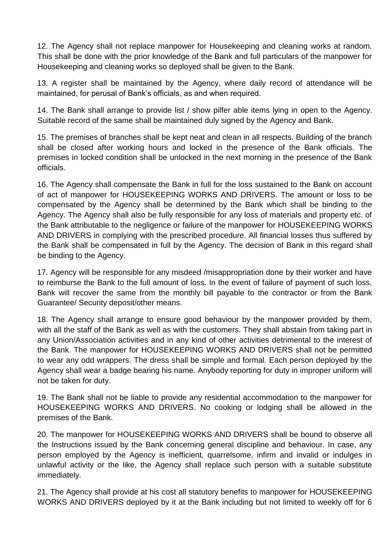12. The Agency shall not replace manpower for Housekeeping and cleaning works at random. This shall be done with the prior knowledge of the Bank and full particulars of the manpower for Housekeeping and cleaning works so deployed shall be given to the Bank.

13. A register shall be maintained by the Agency, where daily record of attendance will be maintained, for perusal of Bank's officials, as and when required.

14. The Bank shall arrange to provide list / show pilfer able items lying in open to the Agency. Suitable record of the same shall be maintained duly signed by the Agency and Bank.

15. The premises of branches shall be kept neat and clean in all respects. Building of the branch shall be closed after working hours and locked in the presence of the Bank officials. The premises in locked condition shall be unlocked in the next morning in the presence of the Bank officials.

16. The Agency shall compensate the Bank in full for the loss sustained to the Bank on account of act of manpower for HOUSEKEEPING WORKS AND DRIVERS. The amount or loss to be compensated by the Agency shall be determined by the Bank which shall be binding to the Agency. The Agency shall also be fully responsible for any loss of materials and property etc. of the Bank attributable to the negligence or failure of the manpower for HOUSEKEEPING WORKS AND DRIVERS in complying with the prescribed procedure. All financial losses thus suffered by the Bank shall be compensated in full by the Agency. The decision of Bank in this regard shall be binding to the Agency.

17. Agency will be responsible for any misdeed /misappropriation done by their worker and have to reimburse the Bank to the full amount of loss. In the event of failure of payment of such loss, Bank will recover the same from the monthly bill payable to the contractor or from the Bank Guarantee/ Security deposit/other means.

18. The Agency shall arrange to ensure good behaviour by the manpower provided by them, with all the staff of the Bank as well as with the customers. They shall abstain from taking part in any Union/Association activities and in any kind of other activities detrimental to the interest of the Bank. The manpower for HOUSEKEEPING WORKS AND DRIVERS shall not be permitted to wear any odd wrappers. The dress shall be simple and formal. Each person deployed by the Agency shall wear a badge bearing his name. Anybody reporting for duty in improper uniform will not be taken for duty.

19. The Bank shall not be liable to provide any residential accommodation to the manpower for HOUSEKEEPING WORKS AND DRIVERS. No cooking or lodging shall be allowed in the premises of the Bank.

20. The manpower for HOUSEKEEPING WORKS AND DRIVERS shall be bound to observe all the Instructions issued by the Bank concerning general discipline and behaviour. In case, any person employed by the Agency is inefficient, quarrelsome, infirm and invalid or indulges in unlawful activity or the like, the Agency shall replace such person with a suitable substitute immediately.

21. The Agency shall provide at his cost all statutory benefits to manpower for HOUSEKEEPING WORKS AND DRIVERS deployed by it at the Bank including but not limited to weekly off for 6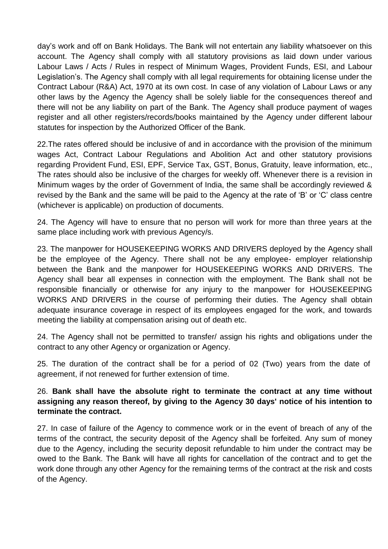day's work and off on Bank Holidays. The Bank will not entertain any liability whatsoever on this account. The Agency shall comply with all statutory provisions as laid down under various Labour Laws / Acts / Rules in respect of Minimum Wages, Provident Funds, ESI, and Labour Legislation's. The Agency shall comply with all legal requirements for obtaining license under the Contract Labour (R&A) Act, 1970 at its own cost. In case of any violation of Labour Laws or any other laws by the Agency the Agency shall be solely liable for the consequences thereof and there will not be any liability on part of the Bank. The Agency shall produce payment of wages register and all other registers/records/books maintained by the Agency under different labour statutes for inspection by the Authorized Officer of the Bank.

22.The rates offered should be inclusive of and in accordance with the provision of the minimum wages Act, Contract Labour Regulations and Abolition Act and other statutory provisions regarding Provident Fund, ESI, EPF, Service Tax, GST, Bonus, Gratuity, leave information, etc., The rates should also be inclusive of the charges for weekly off. Whenever there is a revision in Minimum wages by the order of Government of India, the same shall be accordingly reviewed & revised by the Bank and the same will be paid to the Agency at the rate of 'B' or 'C' class centre (whichever is applicable) on production of documents.

24. The Agency will have to ensure that no person will work for more than three years at the same place including work with previous Agency/s.

23. The manpower for HOUSEKEEPING WORKS AND DRIVERS deployed by the Agency shall be the employee of the Agency. There shall not be any employee- employer relationship between the Bank and the manpower for HOUSEKEEPING WORKS AND DRIVERS. The Agency shall bear all expenses in connection with the employment. The Bank shall not be responsible financially or otherwise for any injury to the manpower for HOUSEKEEPING WORKS AND DRIVERS in the course of performing their duties. The Agency shall obtain adequate insurance coverage in respect of its employees engaged for the work, and towards meeting the liability at compensation arising out of death etc.

24. The Agency shall not be permitted to transfer/ assign his rights and obligations under the contract to any other Agency or organization or Agency.

25. The duration of the contract shall be for a period of 02 (Two) years from the date of agreement, if not renewed for further extension of time.

26. **Bank shall have the absolute right to terminate the contract at any time without assigning any reason thereof, by giving to the Agency 30 days' notice of his intention to terminate the contract.** 

27. In case of failure of the Agency to commence work or in the event of breach of any of the terms of the contract, the security deposit of the Agency shall be forfeited. Any sum of money due to the Agency, including the security deposit refundable to him under the contract may be owed to the Bank. The Bank will have all rights for cancellation of the contract and to get the work done through any other Agency for the remaining terms of the contract at the risk and costs of the Agency.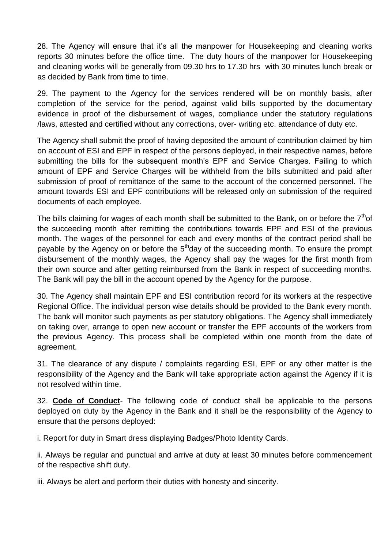28. The Agency will ensure that it's all the manpower for Housekeeping and cleaning works reports 30 minutes before the office time. The duty hours of the manpower for Housekeeping and cleaning works will be generally from 09.30 hrs to 17.30 hrs with 30 minutes lunch break or as decided by Bank from time to time.

29. The payment to the Agency for the services rendered will be on monthly basis, after completion of the service for the period, against valid bills supported by the documentary evidence in proof of the disbursement of wages, compliance under the statutory regulations /laws, attested and certified without any corrections, over- writing etc. attendance of duty etc.

The Agency shall submit the proof of having deposited the amount of contribution claimed by him on account of ESI and EPF in respect of the persons deployed, in their respective names, before submitting the bills for the subsequent month's EPF and Service Charges. Failing to which amount of EPF and Service Charges will be withheld from the bills submitted and paid after submission of proof of remittance of the same to the account of the concerned personnel. The amount towards ESI and EPF contributions will be released only on submission of the required documents of each employee.

The bills claiming for wages of each month shall be submitted to the Bank, on or before the  $7<sup>th</sup>$ of the succeeding month after remitting the contributions towards EPF and ESI of the previous month. The wages of the personnel for each and every months of the contract period shall be payable by the Agency on or before the  $5<sup>th</sup>$ day of the succeeding month. To ensure the prompt disbursement of the monthly wages, the Agency shall pay the wages for the first month from their own source and after getting reimbursed from the Bank in respect of succeeding months. The Bank will pay the bill in the account opened by the Agency for the purpose.

30. The Agency shall maintain EPF and ESI contribution record for its workers at the respective Regional Office. The individual person wise details should be provided to the Bank every month. The bank will monitor such payments as per statutory obligations. The Agency shall immediately on taking over, arrange to open new account or transfer the EPF accounts of the workers from the previous Agency. This process shall be completed within one month from the date of agreement.

31. The clearance of any dispute / complaints regarding ESI, EPF or any other matter is the responsibility of the Agency and the Bank will take appropriate action against the Agency if it is not resolved within time.

32. **Code of Conduct**- The following code of conduct shall be applicable to the persons deployed on duty by the Agency in the Bank and it shall be the responsibility of the Agency to ensure that the persons deployed:

i. Report for duty in Smart dress displaying Badges/Photo Identity Cards.

ii. Always be regular and punctual and arrive at duty at least 30 minutes before commencement of the respective shift duty.

iii. Always be alert and perform their duties with honesty and sincerity.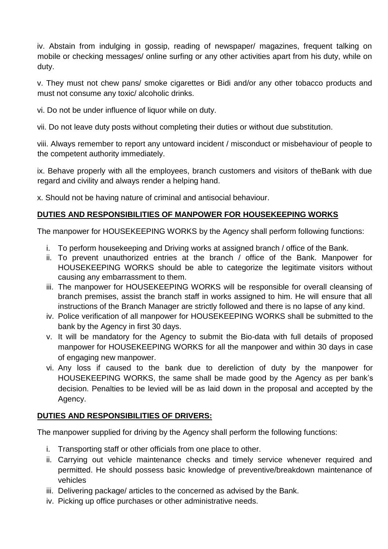iv. Abstain from indulging in gossip, reading of newspaper/ magazines, frequent talking on mobile or checking messages/ online surfing or any other activities apart from his duty, while on duty.

v. They must not chew pans/ smoke cigarettes or Bidi and/or any other tobacco products and must not consume any toxic/ alcoholic drinks.

vi. Do not be under influence of liquor while on duty.

vii. Do not leave duty posts without completing their duties or without due substitution.

viii. Always remember to report any untoward incident / misconduct or misbehaviour of people to the competent authority immediately.

ix. Behave properly with all the employees, branch customers and visitors of theBank with due regard and civility and always render a helping hand.

x. Should not be having nature of criminal and antisocial behaviour.

## **DUTIES AND RESPONSIBILITIES OF MANPOWER FOR HOUSEKEEPING WORKS**

The manpower for HOUSEKEEPING WORKS by the Agency shall perform following functions:

- i. To perform housekeeping and Driving works at assigned branch / office of the Bank.
- ii. To prevent unauthorized entries at the branch / office of the Bank. Manpower for HOUSEKEEPING WORKS should be able to categorize the legitimate visitors without causing any embarrassment to them.
- iii. The manpower for HOUSEKEEPING WORKS will be responsible for overall cleansing of branch premises, assist the branch staff in works assigned to him. He will ensure that all instructions of the Branch Manager are strictly followed and there is no lapse of any kind.
- iv. Police verification of all manpower for HOUSEKEEPING WORKS shall be submitted to the bank by the Agency in first 30 days.
- v. It will be mandatory for the Agency to submit the Bio-data with full details of proposed manpower for HOUSEKEEPING WORKS for all the manpower and within 30 days in case of engaging new manpower.
- vi. Any loss if caused to the bank due to dereliction of duty by the manpower for HOUSEKEEPING WORKS, the same shall be made good by the Agency as per bank's decision. Penalties to be levied will be as laid down in the proposal and accepted by the Agency.

## **DUTIES AND RESPONSIBILITIES OF DRIVERS:**

The manpower supplied for driving by the Agency shall perform the following functions:

- i. Transporting staff or other officials from one place to other.
- ii. Carrying out vehicle maintenance checks and timely service whenever required and permitted. He should possess basic knowledge of preventive/breakdown maintenance of vehicles
- iii. Delivering package/ articles to the concerned as advised by the Bank.
- iv. Picking up office purchases or other administrative needs.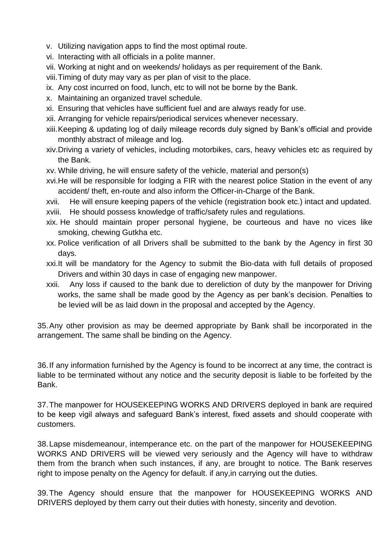- v. Utilizing navigation apps to find the most optimal route.
- vi. Interacting with all officials in a polite manner.
- vii. Working at night and on weekends/ holidays as per requirement of the Bank.
- viii.Timing of duty may vary as per plan of visit to the place.
- ix. Any cost incurred on food, lunch, etc to will not be borne by the Bank.
- x. Maintaining an organized travel schedule.
- xi. Ensuring that vehicles have sufficient fuel and are always ready for use.
- xii. Arranging for vehicle repairs/periodical services whenever necessary.
- xiii.Keeping & updating log of daily mileage records duly signed by Bank's official and provide monthly abstract of mileage and log.
- xiv.Driving a variety of vehicles, including motorbikes, cars, heavy vehicles etc as required by the Bank.
- xv. While driving, he will ensure safety of the vehicle, material and person(s)
- xvi.He will be responsible for lodging a FIR with the nearest police Station in the event of any accident/ theft, en-route and also inform the Officer-in-Charge of the Bank.

xvii. He will ensure keeping papers of the vehicle (registration book etc.) intact and updated. xviii. He should possess knowledge of traffic/safety rules and regulations.

- xix. He should maintain proper personal hygiene, be courteous and have no vices like smoking, chewing Gutkha etc.
- xx. Police verification of all Drivers shall be submitted to the bank by the Agency in first 30 days.
- xxi.It will be mandatory for the Agency to submit the Bio-data with full details of proposed Drivers and within 30 days in case of engaging new manpower.
- xxii. Any loss if caused to the bank due to dereliction of duty by the manpower for Driving works, the same shall be made good by the Agency as per bank's decision. Penalties to be levied will be as laid down in the proposal and accepted by the Agency.

35.Any other provision as may be deemed appropriate by Bank shall be incorporated in the arrangement. The same shall be binding on the Agency.

36.If any information furnished by the Agency is found to be incorrect at any time, the contract is liable to be terminated without any notice and the security deposit is liable to be forfeited by the Bank.

37.The manpower for HOUSEKEEPING WORKS AND DRIVERS deployed in bank are required to be keep vigil always and safeguard Bank's interest, fixed assets and should cooperate with customers.

38.Lapse misdemeanour, intemperance etc. on the part of the manpower for HOUSEKEEPING WORKS AND DRIVERS will be viewed very seriously and the Agency will have to withdraw them from the branch when such instances, if any, are brought to notice. The Bank reserves right to impose penalty on the Agency for default. if any,in carrying out the duties.

39.The Agency should ensure that the manpower for HOUSEKEEPING WORKS AND DRIVERS deployed by them carry out their duties with honesty, sincerity and devotion.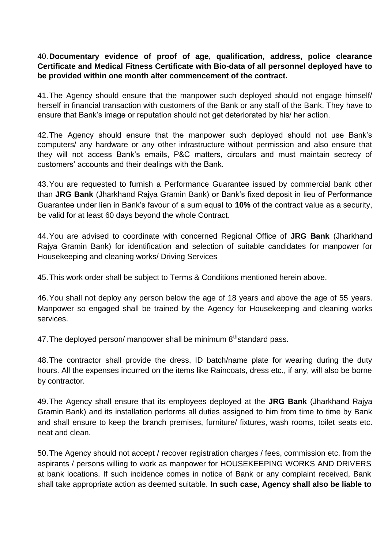#### 40.**Documentary evidence of proof of age, qualification, address, police clearance Certificate and Medical Fitness Certificate with Bio-data of all personnel deployed have to be provided within one month alter commencement of the contract.**

41.The Agency should ensure that the manpower such deployed should not engage himself/ herself in financial transaction with customers of the Bank or any staff of the Bank. They have to ensure that Bank's image or reputation should not get deteriorated by his/ her action.

42.The Agency should ensure that the manpower such deployed should not use Bank's computers/ any hardware or any other infrastructure without permission and also ensure that they will not access Bank's emails, P&C matters, circulars and must maintain secrecy of customers' accounts and their dealings with the Bank.

43.You are requested to furnish a Performance Guarantee issued by commercial bank other than **JRG Bank** (Jharkhand Rajya Gramin Bank) or Bank's fixed deposit in lieu of Performance Guarantee under lien in Bank's favour of a sum equal to **10%** of the contract value as a security, be valid for at least 60 days beyond the whole Contract.

44.You are advised to coordinate with concerned Regional Office of **JRG Bank** (Jharkhand Rajya Gramin Bank) for identification and selection of suitable candidates for manpower for Housekeeping and cleaning works/ Driving Services

45.This work order shall be subject to Terms & Conditions mentioned herein above.

46.You shall not deploy any person below the age of 18 years and above the age of 55 years. Manpower so engaged shall be trained by the Agency for Housekeeping and cleaning works services.

47. The deployed person/ manpower shall be minimum  $8<sup>th</sup>$ standard pass.

48.The contractor shall provide the dress, ID batch/name plate for wearing during the duty hours. All the expenses incurred on the items like Raincoats, dress etc., if any, will also be borne by contractor.

49.The Agency shall ensure that its employees deployed at the **JRG Bank** (Jharkhand Rajya Gramin Bank) and its installation performs all duties assigned to him from time to time by Bank and shall ensure to keep the branch premises, furniture/ fixtures, wash rooms, toilet seats etc. neat and clean.

50.The Agency should not accept / recover registration charges / fees, commission etc. from the aspirants / persons willing to work as manpower for HOUSEKEEPING WORKS AND DRIVERS at bank locations. If such incidence comes in notice of Bank or any complaint received, Bank shall take appropriate action as deemed suitable. **In such case, Agency shall also be liable to**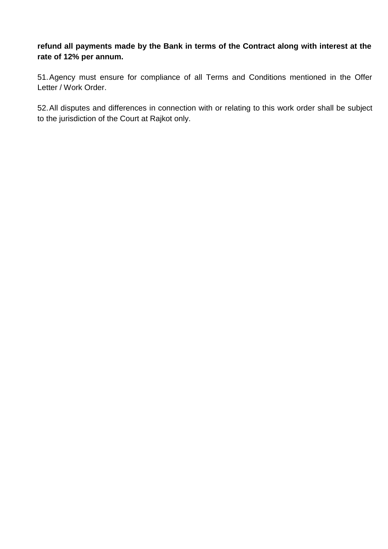**refund all payments made by the Bank in terms of the Contract along with interest at the rate of 12% per annum.** 

51.Agency must ensure for compliance of all Terms and Conditions mentioned in the Offer Letter / Work Order.

52.All disputes and differences in connection with or relating to this work order shall be subject to the jurisdiction of the Court at Rajkot only.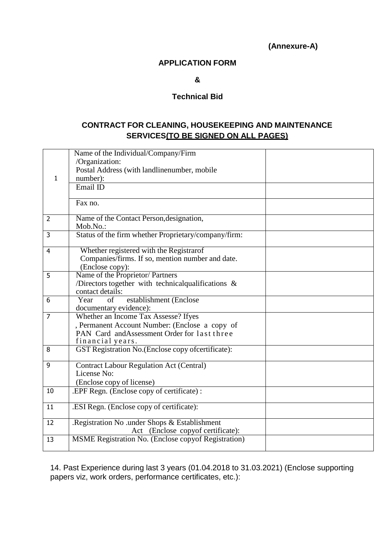**(Annexure-A)**

#### **APPLICATION FORM**

**&** 

#### **Technical Bid**

#### **CONTRACT FOR CLEANING, HOUSEKEEPING AND MAINTENANCE SERVICES(TO BE SIGNED ON ALL PAGES)**

|                | Name of the Individual/Company/Firm                                                                                                                        |  |
|----------------|------------------------------------------------------------------------------------------------------------------------------------------------------------|--|
|                | /Organization:                                                                                                                                             |  |
|                | Postal Address (with landlinenumber, mobile                                                                                                                |  |
| $\mathbf{1}$   | number):                                                                                                                                                   |  |
|                | Email ID                                                                                                                                                   |  |
|                | Fax no.                                                                                                                                                    |  |
| $\overline{2}$ | Name of the Contact Person, designation,<br>Mob.No.:                                                                                                       |  |
| $\overline{3}$ | Status of the firm whether Proprietary/company/firm:                                                                                                       |  |
| $\overline{4}$ | Whether registered with the Registrarof<br>Companies/firms. If so, mention number and date.<br>(Enclose copy):                                             |  |
| 5              | Name of the Proprietor/ Partners<br>/Directors together with technical<br>qualifications $\&$<br>contact details:                                          |  |
| 6              | establishment (Enclose<br>Year<br>of<br>documentary evidence):                                                                                             |  |
| $\overline{7}$ | Whether an Income Tax Assesse? Ifyes<br>, Permanent Account Number: (Enclose a copy of<br>PAN Card and Assessment Order for last three<br>financial years. |  |
| 8              | GST Registration No.(Enclose copy ofcertificate):                                                                                                          |  |
| 9              | <b>Contract Labour Regulation Act (Central)</b><br>License No:<br>(Enclose copy of license)                                                                |  |
| 10             | .EPF Regn. (Enclose copy of certificate):                                                                                                                  |  |
| 11             | .ESI Regn. (Enclose copy of certificate):                                                                                                                  |  |
| 12             | .Registration No .under Shops & Establishment<br>Act (Enclose copyof certificate):                                                                         |  |
| 13             | <b>MSME Registration No. (Enclose copyof Registration)</b>                                                                                                 |  |

14. Past Experience during last 3 years (01.04.2018 to 31.03.2021) (Enclose supporting papers viz, work orders, performance certificates, etc.):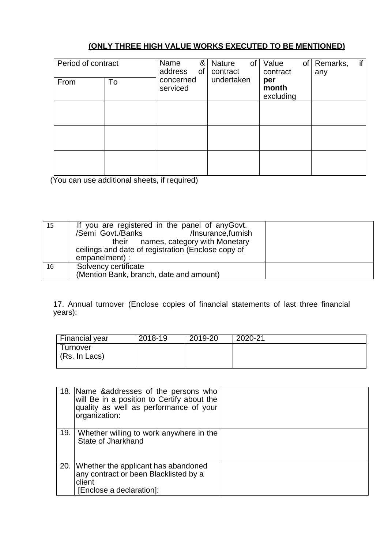## **(ONLY THREE HIGH VALUE WORKS EXECUTED TO BE MENTIONED)**

| Period of contract |    | Name<br>&<br>address<br>$\circ$ f | <b>Nature</b><br>of<br>contract | Value<br>of<br>contract   | if<br>Remarks,<br>any |
|--------------------|----|-----------------------------------|---------------------------------|---------------------------|-----------------------|
| From               | To | concerned<br>serviced             | undertaken                      | per<br>month<br>excluding |                       |
|                    |    |                                   |                                 |                           |                       |
|                    |    |                                   |                                 |                           |                       |
|                    |    |                                   |                                 |                           |                       |

(You can use additional sheets, if required)

| 15 | If you are registered in the panel of anyGovt.<br>/Insurance, furnish<br>/Semi Govt./Banks<br>their names, category with Monetary<br>ceilings and date of registration (Enclose copy of<br>empanelment) : |  |
|----|-----------------------------------------------------------------------------------------------------------------------------------------------------------------------------------------------------------|--|
| 16 | Solvency certificate<br>(Mention Bank, branch, date and amount)                                                                                                                                           |  |

17. Annual turnover (Enclose copies of financial statements of last three financial years):

| <b>Financial year</b> | $2018 - 19$ | 2019-20 | 2020-21 |
|-----------------------|-------------|---------|---------|
| Turnover              |             |         |         |
| (Rs. In Lacs)         |             |         |         |
|                       |             |         |         |

|     | 18. Name & addresses of the persons who<br>will Be in a position to Certify about the<br>quality as well as performance of your<br>organization: |  |
|-----|--------------------------------------------------------------------------------------------------------------------------------------------------|--|
| 19. | Whether willing to work anywhere in the<br>State of Jharkhand                                                                                    |  |
|     | 20. Whether the applicant has abandoned<br>any contract or been Blacklisted by a<br>client<br>[Enclose a declaration]:                           |  |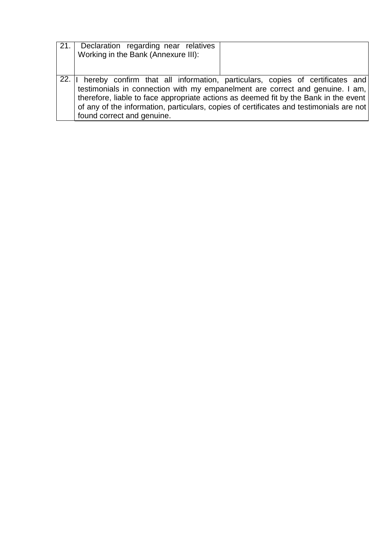| 21.1 | Declaration regarding near relatives                                                    |
|------|-----------------------------------------------------------------------------------------|
|      | Working in the Bank (Annexure III):                                                     |
|      |                                                                                         |
|      |                                                                                         |
|      | 22. Il hereby confirm that all information, particulars, copies of certificates and     |
|      | testimonials in connection with my empanelment are correct and genuine. I am,           |
|      | therefore, liable to face appropriate actions as deemed fit by the Bank in the event    |
|      | of any of the information, particulars, copies of certificates and testimonials are not |
|      | found correct and genuine.                                                              |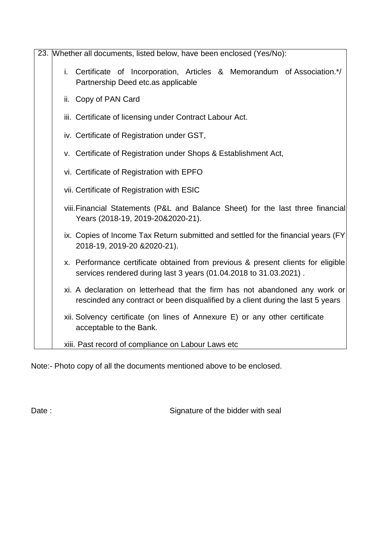| 23. Whether all documents, listed below, have been enclosed (Yes/No):                                                                                          |
|----------------------------------------------------------------------------------------------------------------------------------------------------------------|
| i. Certificate of Incorporation, Articles & Memorandum of Association.*/<br>Partnership Deed etc.as applicable                                                 |
| ii. Copy of PAN Card                                                                                                                                           |
| iii. Certificate of licensing under Contract Labour Act.                                                                                                       |
| iv. Certificate of Registration under GST,                                                                                                                     |
| v. Certificate of Registration under Shops & Establishment Act,                                                                                                |
| vi. Certificate of Registration with EPFO                                                                                                                      |
| vii. Certificate of Registration with ESIC                                                                                                                     |
| viii. Financial Statements (P&L and Balance Sheet) for the last three financial<br>Years (2018-19, 2019-20&2020-21).                                           |
| ix. Copies of Income Tax Return submitted and settled for the financial years (FY<br>2018-19, 2019-20 & 2020-21).                                              |
| x. Performance certificate obtained from previous & present clients for eligible<br>services rendered during last 3 years (01.04.2018 to 31.03.2021).          |
| xi. A declaration on letterhead that the firm has not abandoned any work or<br>rescinded any contract or been disqualified by a client during the last 5 years |
| xii. Solvency certificate (on lines of Annexure E) or any other certificate<br>acceptable to the Bank.                                                         |
| xiii. Past record of compliance on Labour Laws etc                                                                                                             |

Note:- Photo copy of all the documents mentioned above to be enclosed.

Date : Signature of the bidder with seal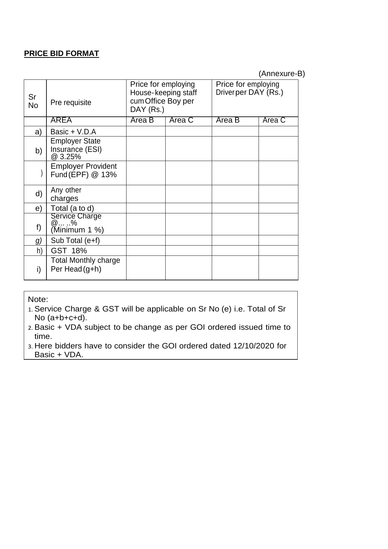#### **PRICE BID FORMAT**

(Annexure-B)

| Sr<br><b>No</b> | Pre requisite                                       | Price for employing<br>House-keeping staff<br>cum Office Boy per<br>DAY (Rs.) |        | Price for employing<br>Driverper DAY (Rs.) |        |  |  |
|-----------------|-----------------------------------------------------|-------------------------------------------------------------------------------|--------|--------------------------------------------|--------|--|--|
|                 | <b>AREA</b>                                         | Area B                                                                        | Area C | Area B                                     | Area C |  |  |
| a)              | Basic + V.D.A                                       |                                                                               |        |                                            |        |  |  |
| b)              | <b>Employer State</b><br>Insurance (ESI)<br>@ 3.25% |                                                                               |        |                                            |        |  |  |
|                 | <b>Employer Provident</b><br>Fund (EPF) @ 13%       |                                                                               |        |                                            |        |  |  |
| d)              | Any other<br>charges                                |                                                                               |        |                                            |        |  |  |
| e)              | Total (a to d)                                      |                                                                               |        |                                            |        |  |  |
| f)              | Service Charge<br>@ %<br>(Minimum 1 %)              |                                                                               |        |                                            |        |  |  |
| g)              | Sub Total (e+f)                                     |                                                                               |        |                                            |        |  |  |
| h)              | GST 18%                                             |                                                                               |        |                                            |        |  |  |
| i)              | <b>Total Monthly charge</b><br>Per Head (g+h)       |                                                                               |        |                                            |        |  |  |

Note:

1. Service Charge & GST will be applicable on Sr No (e) i.e. Total of Sr No (a+b+c+d).

2. Basic + VDA subject to be change as per GOI ordered issued time to time.

3. Here bidders have to consider the GOI ordered dated 12/10/2020 for Basic + VDA.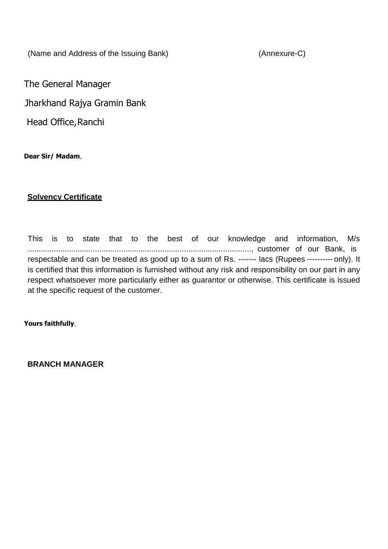(Name and Address of the Issuing Bank) (Annexure-C)

The General Manager

Jharkhand Rajya Gramin Bank

Head Office, Ranchi

**Dear Sir/ Madam**,

#### **Solvency Certificate**

This is to state that to the best of our knowledge and information, M/s ......................................................................................................., customer of our Bank, is respectable and can be treated as good up to a sum of Rs. ------- lacs (Rupees ---------- only). It is certified that this information is furnished without any risk and responsibility on our part in any respect whatsoever more particularly either as guarantor or otherwise. This certificate is issued at the specific request of the customer.

**Yours faithfully**,

**BRANCH MANAGER**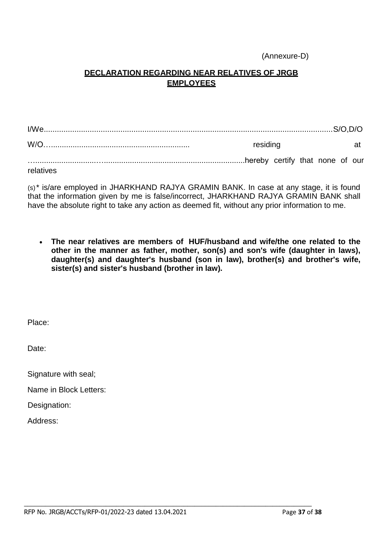#### (Annexure-D)

#### **DECLARATION REGARDING NEAR RELATIVES OF JRGB EMPLOYEES**

I/We....................................................................................................................................S/O,D/O W/O…................................................................ residing at …............................….................................................................hereby certify that none of our relatives

(s)\* is/are employed in JHARKHAND RAJYA GRAMIN BANK. In case at any stage, it is found that the information given by me is false/incorrect, JHARKHAND RAJYA GRAMIN BANK shall have the absolute right to take any action as deemed fit, without any prior information to me.

 **The near relatives are members of HUF/husband and wife/the one related to the other in the manner as father, mother, son(s) and son's wife (daughter in laws), daughter(s) and daughter's husband (son in law), brother(s) and brother's wife, sister(s) and sister's husband (brother in law).**

Place:

Date:

Signature with seal;

Name in Block Letters:

Designation:

Address:

 $\_$  , and the set of the set of the set of the set of the set of the set of the set of the set of the set of the set of the set of the set of the set of the set of the set of the set of the set of the set of the set of th